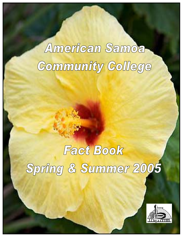# American Samoa Community College

# Fact Book

Spring & Summer 2005

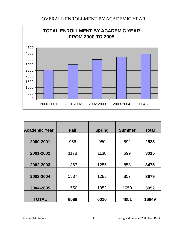## OVERALL ENROLLMENT BY ACADEMIC YEAR



| <b>Academic Year</b> | Fall | <b>Spring</b> | <b>Summer</b> | <b>Total</b> |
|----------------------|------|---------------|---------------|--------------|
|                      |      |               |               |              |
| 2000-2001            | 956  | 980           | 592           | 2528         |
| 2001-2002            | 1178 | 1138          | 699           | 3015         |
| 2002-2003            | 1367 | 1255          | 853           | 3475         |
| 2003-2004            | 1537 | 1285          | 857           | 3679         |
| 2004-2005            | 1550 | 1352          | 1050          | 3952         |
| <b>TOTAL</b>         | 6588 | 6010          | 4051          | 16649        |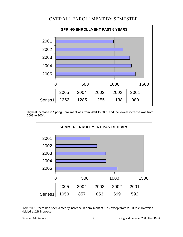## OVERALL ENROLLMENT BY SEMESTER



Highest increase in Spring Enrollment was from 2001 to 2002 and the lowest increase was from 2003 to 2004.



From 2001, there has been a steady increase in enrollment of 10% except from 2003 to 2004 which yielded a .2% increase.

Source: Admissions 2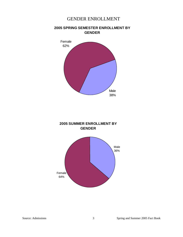#### GENDER ENROLLMENT



#### **2005 SPRING SEMESTER ENROLLMENT BY GENDER**



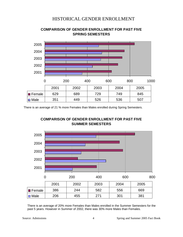### HISTORICAL GENDER ENROLLMENT



**COMPARISON OF GENDER ENROLLMENT FOR PAST FIVE SPRING SEMESTERS** 

There is an average of 21 % more Females than Males enrolled during Spring Semesters.





There is an average of 20% more Females than Males enrolled in the Summer Semesters for the past 5 years. However in Summer of 2002, there was 30% more Males than Females.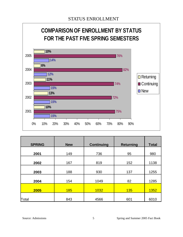

| <b>SPRING</b> | <b>New</b> | <b>Continuing</b> | <b>Returning</b> | <b>Total</b> |
|---------------|------------|-------------------|------------------|--------------|
|               |            |                   |                  |              |
| 2001          | 149        | 736               | 95               | 980          |
|               |            |                   |                  |              |
| 2002          | 167        | 819               | 152              | 1138         |
|               |            |                   |                  |              |
| 2003          | 188        | 930               | 137              | 1255         |
|               |            |                   |                  |              |
| 2004          | 154        | 1049              | 82               | 1285         |
|               |            |                   |                  |              |
| 2005          | <b>185</b> | 1032              | <b>135</b>       | 1352         |
|               |            |                   |                  |              |
| Total         | 843        | 4566              | 601              | 6010         |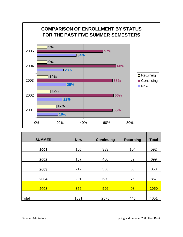

| <b>SUMMER</b> | <b>New</b> | <b>Continuing</b> | <b>Returning</b> | <b>Total</b> |
|---------------|------------|-------------------|------------------|--------------|
|               |            |                   |                  |              |
| 2001          | 105        | 383               | 104              | 592          |
| 2002          | 157        | 460               | 82               | 699          |
| 2003          | 212        | 556               | 85               | 853          |
| 2004          | 201        | 580               | 76               | 857          |
| 2005          | 356        | 596               | 98               | 1050         |
| Total         | 1031       | 2575              | 445              | 4051         |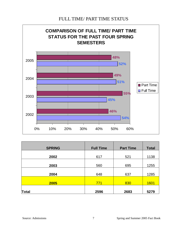#### FULL TIME/ PART TIME STATUS



| <b>SPRING</b> | <b>Full Time</b> | <b>Part Time</b> | <b>Total</b> |
|---------------|------------------|------------------|--------------|
| 2002          | 617              | 521              | 1138         |
| 2003          | 560              | 695              | 1255         |
| 2004          | 648              | 637              | 1285         |
| 2005          | 771              | 830              | <b>1601</b>  |
| <b>Total</b>  | 2596             | 2683             | 5279         |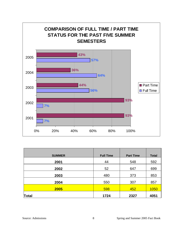

| <b>SUMMER</b> | <b>Full Time</b> | <b>Part Time</b> | <b>Total</b> |
|---------------|------------------|------------------|--------------|
| 2001          | 44               | 548              | 592          |
| 2002          | 52               | 647              | 699          |
| 2003          | 480              | 373              | 853          |
| 2004          | 550              | 307              | 857          |
| 2005          | 598              | 452              | 1050         |
| Total         | 1724             | 2327             | 4051         |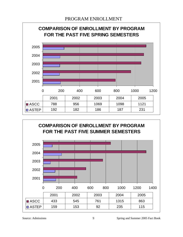



Source: Admissions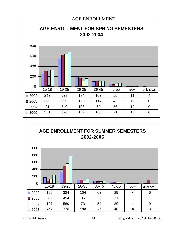#### AGE ENROLLMENT





Source: Admissions 10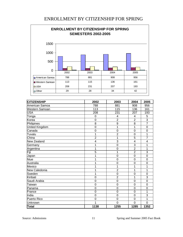#### ENROLLMENT BY CITIZENSHIP FOR SPRING



| <b>CITIZENSHIP</b> | 2002             | 2003           | 2004           | 2005           |
|--------------------|------------------|----------------|----------------|----------------|
| American Samoa     | 788              | 881            | 908            | 956            |
| Western Samoan     | 113              | 115            | 136            | 161            |
| <b>USA</b>         | 208              | 231            | 207            | 193            |
| Tonga              | $\boldsymbol{0}$ | $\overline{4}$ | 4              | 5              |
| Korea              | $\mathbf 0$      | $\overline{2}$ | $\overline{2}$ | $\overline{3}$ |
| Philipines         | 8                | 9              | 8              | $\overline{7}$ |
| United Kingdom     | $\overline{0}$   | 1              | 1              | $\mathbf 0$    |
| Canada             | $\mathbf 0$      | $\mathbf 0$    | $\mathbf 0$    | 0              |
| Tuvalu             | 1                | $\overline{2}$ | $\mathbf 0$    | 1              |
| China              | $\overline{2}$   | 1              | $\overline{5}$ | $\overline{7}$ |
| New Zealand        | 4                | 3              | $\overline{4}$ | 4              |
| Germany            | 1                | $\overline{0}$ | 3              | 1              |
| Argentina          | 1                | $\mathbf 0$    | $\overline{2}$ | 1              |
| Fiji               | $\overline{5}$   | 1              | $\overline{2}$ | 3              |
| Japan              | 1                | $\overline{0}$ | $\overline{0}$ | $\mathbf 0$    |
| Niue               | 1                | $\mathbf 0$    | $\overline{0}$ | 0              |
| Australia          | 1                | $\Omega$       | $\mathbf 0$    | $\Omega$       |
| Mexico             | 1                | 1              | 1              | 1              |
| New Caledonia      | 1                | $\overline{2}$ | 1              | 1              |
| Sweden             | 1                | $\overline{0}$ | 0              | $\overline{0}$ |
| Kiribati           | $\overline{0}$   | $\overline{2}$ | 1              | 3              |
| Saudi Arabia       | $\overline{0}$   | $\overline{0}$ | $\mathbf 0$    | $\overline{0}$ |
| Taiwan             | $\overline{0}$   | $\mathbf 0$    | $\mathbf 0$    | $\mathbf 0$    |
| Panama             | $\overline{0}$   | $\overline{0}$ | $\overline{0}$ | $\mathbf 0$    |
| France             | $\overline{0}$   | $\overline{0}$ | $\overline{0}$ | 1              |
| India              | $\mathbf 0$      | $\Omega$       | 0              | 3              |
| Puerto Rico        | $\mathbf 0$      | $\overline{0}$ | $\mathbf 0$    | 1              |
| Unknown            | 1                | $\overline{0}$ | 0              | $\Omega$       |
| Total              | 1138             | 1255           | 1285           | 1352           |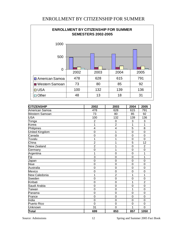#### ENROLLMENT BY CITIZENSHIP FOR SUMMER



| <b>CITIZENSHIP</b> | 2002           | 2003           | 2004             | 2005                      |
|--------------------|----------------|----------------|------------------|---------------------------|
| American Samoa     | 478            | 628            | 615              | 791                       |
| Western Samoan     | 73             | 80             | 85               | 92                        |
| <b>USA</b>         | 100            | 132            | 139              | 136                       |
| Tonga              | $\overline{2}$ | $\mathbf 0$    | 3                | $\ensuremath{\mathsf{3}}$ |
| Korea              | 1              | $\overline{2}$ | 1                | 1                         |
| Philipines         | 4              | 4              | 5                | 8                         |
| United Kingdom     | $\mathbf 0$    | 1              | $\mathbf 0$      | $\mathbf 0$               |
| Canada             | $\overline{0}$ | $\overline{0}$ | $\mathbf 0$      | $\mathbf 0$               |
| Tuvalu             | 1              |                | $\mathbf 0$      | $\overline{0}$            |
| China              | $\overline{2}$ |                | $\overline{5}$   | 12                        |
| New Zealand        | $\overline{2}$ | 1              | $\overline{0}$   | $\overline{2}$            |
| Germany            | $\mathbf 0$    | 1              | $\boldsymbol{0}$ | 0                         |
| Argentina          | 1              | $\overline{0}$ | $\overline{0}$   | 1                         |
| Fiji               | 3              | $\mathbf 0$    | $\mathbf 0$      | 1                         |
| Japan              | $\overline{0}$ | $\mathbf 0$    | $\mathbf 0$      | 0                         |
| <b>Niue</b>        | $\overline{0}$ | $\mathbf 0$    | $\overline{0}$   | $\mathbf 0$               |
| Australia          | 0              | $\mathbf 0$    | $\mathbf 0$      | $\mathbf 0$               |
| Mexico             | 0              | $\mathbf 0$    | $\mathbf 0$      | $\mathbf 0$               |
| New Caledonia      | 1              | $\overline{2}$ | 1                | 1                         |
| Sweden             | $\mathbf 0$    | $\mathbf 0$    | $\overline{0}$   | 0                         |
| Kiribati           | $\overline{0}$ | $\overline{0}$ | 1                | $\overline{2}$            |
| Saudi Arabia       | 0              | $\mathbf 0$    | $\mathbf 0$      | $\overline{0}$            |
| Taiwan             | $\mathbf 0$    | $\mathbf 0$    | 1                | 0                         |
| Panama             | $\overline{0}$ | $\mathbf 0$    | $\overline{0}$   | $\mathbf 0$               |
| France             | $\overline{0}$ | $\overline{0}$ | $\mathbf 0$      | $\overline{0}$            |
| India              | $\mathbf 0$    | 0              | 0                | 0                         |
| Puerto Rico        | $\overline{0}$ | $\mathbf 0$    | $\mathbf 0$      | $\mathbf 0$               |
| Unknown            | 31             | $\overline{0}$ | 1                | 0                         |
| Total              | 699            | 853            | 857              | 1050                      |

Source: Admissions 12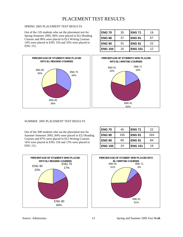## PLACEMENT TEST RESULTS

#### SPRING 2005 PLACEMENT TEST RESULTS

Out of the 120 students who sat the placement test for Spring Semester 2005, 86% were placed in ELI Reading Courses and 90% were placed in ELI Writing Courses. 14% were placed in ENG 150 and 10% were placed in ENG 151.



ENG 71 18%



#### SUMMER 2005 PLACEMENT TEST RESULTS

Out of the 308 students who sat the placement test for Summer Semester 2005, 84% were placed in ELI Reading Courses and 87% were placed in ELI Writing Courses. 16% were placed in ENG 150 and 13% were placed in ENG 151.



| <b>ENG 70</b>  | 45  | <b>ENG 71</b>  | 22  |
|----------------|-----|----------------|-----|
| <b>ENG 80</b>  | 155 | <b>ENG 81</b>  | 163 |
| <b>ENG 90</b>  | 60  | <b>ENG 91</b>  | 84  |
| <b>ENG 150</b> | 24  | <b>ENG 151</b> | 19  |

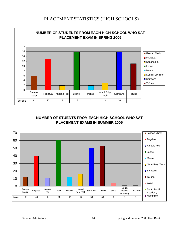#### PLACEMENT STATISTICS (HIGH SCHOOLS)





Source: Admissions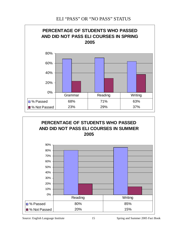### ELI "PASS" OR "NO PASS" STATUS





Source: English Language Institute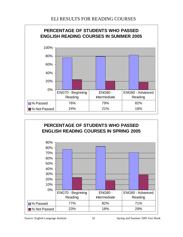## ELI RESULTS FOR READING COURSES





Source: English Language Institute 16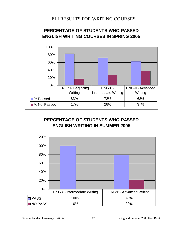### ELI RESULTS FOR WRITING COURSES





Source: English Language Institute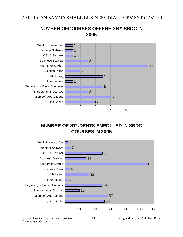

# **NUMBER OF STUDENTS ENROLLED IN SBDC COURSES IN 2005**



Source: American Samoa Small Business Development Center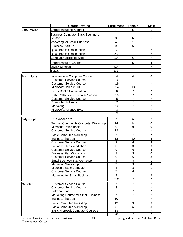|                   | <b>Course Offered</b>                                | <b>Enrollment</b>    | Female             | <b>Male</b>        |
|-------------------|------------------------------------------------------|----------------------|--------------------|--------------------|
| Jan. -March       | <b>Entrepreneurship Course</b>                       | $\overline{7}$       | 5                  | $\overline{2}$     |
|                   | <b>Business Computer Basic Beginners</b>             |                      |                    |                    |
|                   | Course                                               | 8                    | 6                  | $\overline{c}$     |
|                   | <b>Marketing for Small Business</b>                  | 4                    | 1                  | 3                  |
|                   | <b>Business Start-up</b>                             | 9                    | 6                  | 3                  |
|                   | <b>Quick Books Continuation</b>                      | 17                   | $\star$            | $\star$            |
|                   | <b>Quick Books Continuation</b>                      | 23                   | $\star$            | $\star$            |
|                   | Computer Microsoft Word                              | 10                   | 6                  | 4                  |
|                   |                                                      |                      |                    |                    |
|                   | <b>Entrepreneurial Course</b><br><b>OSHA Seminar</b> | $\overline{7}$<br>50 | 6<br>$\star$       | 1<br>$\star$       |
|                   |                                                      |                      |                    |                    |
|                   | <b>Totals</b>                                        | 135                  |                    |                    |
| <b>April-June</b> | Intermediate Computer Course                         | 4                    | 4                  | 0                  |
|                   | <b>Customer Service Course</b>                       | 16                   | $\star$            | $\star$            |
|                   | <b>Customer Service Course</b>                       | 19                   | $\star$            | $\star$            |
|                   | Microsoft Office 2000                                | 14                   | 13                 | 1                  |
|                   | <b>Quick Books Continuation</b>                      | 6                    | $\star$            | $\star$            |
|                   | <b>Debt Collection/ Customer Service</b>             | 10                   | $\star$            | $\star$            |
|                   | <b>Customer Service Course</b>                       | $\overline{5}$       | $\star$            | $\star$            |
|                   | Computer Software                                    | $\overline{7}$       | $\star$            | $\star$            |
|                   | Marketing                                            | 10                   | $\star$<br>$\star$ | $\star$<br>$\star$ |
|                   | Microsoft Advance Excel                              | 3                    |                    |                    |
|                   |                                                      | 79                   |                    |                    |
| <b>July -Sept</b> | Quickbooks pro                                       | $\overline{7}$       | 5                  | $\overline{2}$     |
|                   | <b>Tongan Community Computer Workshop</b>            | 14                   | 14                 | 0                  |
|                   | Microsoft Office Basic                               | 9                    | 9                  | 0                  |
|                   | <b>Customer Service Course</b>                       | 13                   | $\star$            | $\star$            |
|                   | <b>Basic Computer Workshop</b>                       | 7                    | $\star$            | $\star$            |
|                   | <b>Business Start-up</b>                             | 13                   | 10                 | 3                  |
|                   | <b>Customer Service Course</b>                       | $\boldsymbol{9}$     | 6                  | $\overline{3}$     |
|                   | <b>Business Plans Workshop</b>                       | 3                    | 3                  | 0                  |
|                   | <b>Customer Service Course</b>                       | $\boldsymbol{9}$     | 6                  | 3                  |
|                   | <b>Business Plan Workshop</b>                        | 3                    | 3                  | 0                  |
|                   | <b>Customer Service Course</b>                       | 9                    | 6                  | 3                  |
|                   | Small Business Tax Workshop                          | 4                    | 3                  | 1                  |
|                   | Marketing Workshop                                   | $\overline{7}$       | 3                  | 4                  |
|                   | Microsoft Basic Computer                             | 4<br>$\overline{7}$  | $\overline{3}$     | 1                  |
|                   | <b>Customer Service Course</b>                       |                      | 6                  | 1                  |
|                   | Marketing for Small Business                         | 4                    | 1<br>$\star$       | 3                  |
|                   |                                                      | 122                  |                    |                    |
| Oct-Dec           | <b>Customer Service Course</b>                       | $\overline{7}$       | $\star$            | $\star$            |
|                   | <b>Customer Service Course</b>                       | 8                    | $\star$<br>$\star$ | $\star$<br>$\star$ |
|                   | Entrepreneur                                         | 5                    | $\star$            | $\star$            |
|                   | Marketing Course for Small Business                  | $\overline{7}$       | $\star$            | $\star$            |
|                   | <b>Business Start-up</b>                             | 10                   |                    |                    |
|                   | <b>Basic Computer Workshop</b>                       | 12                   | 9                  | 3                  |
|                   | <b>Basic Computer Workshop</b>                       | 8                    | 5                  | 3                  |
|                   | Basic Microsoft Computer Course 1                    | 13                   | $\star$            | $\star$            |
|                   |                                                      | 70                   | $\star$            | $\star$            |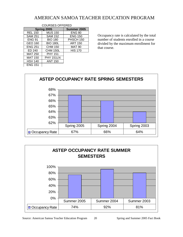## AMERICAN SAMOA TEACHER EDUCATION PROGRAM

| UUUNULU UI I LINLD |                  |                |  |  |
|--------------------|------------------|----------------|--|--|
| Spring 2005        |                  | Summer 2005    |  |  |
| <b>REL 150</b>     | <b>MUS 150</b>   | <b>ENG 80</b>  |  |  |
| <b>SAM 251</b>     | <b>SAM 152</b>   | <b>ENG 150</b> |  |  |
| <b>ENG 91</b>      | <b>BIO 180</b>   | PHSCH 150      |  |  |
| <b>GEO 160</b>     | <b>BIO 180L</b>  | <b>ART 150</b> |  |  |
| <b>ENG 251</b>     | <b>CHM 150</b>   | <b>MAT 90</b>  |  |  |
| ED 240             | <b>CHM 150L</b>  | <b>HIS 170</b> |  |  |
| <b>MAT 250</b>     | <b>PHY 151</b>   |                |  |  |
| <b>MAT 150</b>     | <b>PHY 151LN</b> |                |  |  |
| <b>HSV 140</b>     | <b>ANT 150</b>   |                |  |  |
| <b>ENG 151</b>     |                  |                |  |  |

COURSES OFFERED

Occupancy rate is calculated by the total number of students enrolled in a course divided by the maximum enrollment for that course.



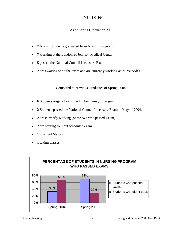## NURSING

#### As of Spring Graduation 2005:

- 7 Nursing students graduated from Nursing Program
- 7 working at the Lyndon B. Johnson Medical Center
- 5 passed the National Council Licensure Exam
- 2 are awaiting to sit the exam and are currently working as Nurse Aides

Compared to previous Graduates of Spring 2004:

- 6 Students originally enrolled in beginning of program.
- 2 Students passed the National Council Licensure Exam in May of 2004.
- 2 are currently working (Same two who passed Exam)
- 2 are waiting for next scheduled exam.
- 1 changed Majors
- 1 taking classes

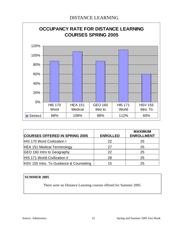

| <b>COURSES OFFERED IN SPRING 2005</b>   | <b>ENROLLED</b> | <b>MAXIMUM</b><br><b>ENROLLMENT</b> |
|-----------------------------------------|-----------------|-------------------------------------|
| <b>HIS 170 Word Civilization I</b>      | 22              | 25                                  |
| <b>HEA 151 Medical Terminology</b>      | 27              | 25                                  |
| GEO 160 Intro to Geography              | 22              | 25                                  |
| <b>HIS 171 World Civilization II</b>    | 28              | 25                                  |
| HSV 155 Intro. To Guidance & Counseling | 15              | 25                                  |

#### **SUMMER 2005**

There were no Distance Learning courses offered for Summer 2005.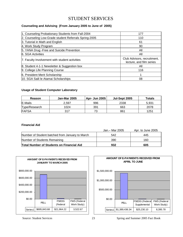# STUDENT SERVICES

#### **Counseling and Advising (From January 2005 to June of 2005)**

| 1. Counseling Probationary Students from Fall-2004    | 177                                                     |
|-------------------------------------------------------|---------------------------------------------------------|
| 2. Counseling Low-Grade student Referrals Spring-2005 | 110                                                     |
| 3. Tutorial in Math and English                       | 61                                                      |
| 4. Work Study Program                                 | 90                                                      |
| 5. YANA Drug - Free and Suicide Prevention            | All                                                     |
| 6. SGA Activities                                     | All                                                     |
| 7. Faculty Involvement with student activities        | Club Advisors, recruitment,<br>lecture, and film series |
| 8. Student 4-1-1 Newsletter & Suggestion box          | All                                                     |
| 9. College Life Planning Course                       | 116                                                     |
| 6. President Merit Scholarship                        |                                                         |
| 10. SGA Saili le Atamai Scholarships                  | 08                                                      |

#### **Usage of Student Computer Laboratory**

| Reason        | <b>Jan-Mar 2005</b> | <b>Apr- Jun 2005</b> | Jul-Sept 2005 | Totals |
|---------------|---------------------|----------------------|---------------|--------|
| E-Mails       | 2,597               | 996                  | 2338          | 5,931  |
| Type/Research | 1024                | 391                  | 663           | 2078   |
| <b>FAFSA</b>  | 317                 | 73                   | 861           | 1251   |

#### **Financial Aid**

|                                                  | Jan. – Mar 2005 | Apr. to June 2005 |
|--------------------------------------------------|-----------------|-------------------|
| Number of Student batched from January to March  | 542             | 445               |
| Number of Students Remaining                     | 390             | 160               |
| <b>Total Number of Students on Financial Aid</b> | 932             | 605               |





Source: Student Services 23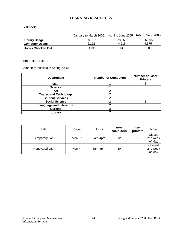#### **LEARNING RESOURCES**

#### **LIBRARY**

|                          | January to March 2005: |        | April to June 2005 July to Sept 2005 |
|--------------------------|------------------------|--------|--------------------------------------|
| Library Usage            | 39.327                 | 28.053 | 25,805                               |
| <b>Computer Usage</b>    | 6.152                  | 4.515  | 9.575                                |
| <b>Books Checked Out</b> | 419                    | 135    | 58                                   |

#### **COMPUTER LABS**

Computers installed in Spring 2005:

| <b>Department</b>              | <b>Number of Computers</b> | <b>Number of Laser</b><br><b>Printers</b> |
|--------------------------------|----------------------------|-------------------------------------------|
| Math                           |                            |                                           |
| <b>Science</b>                 |                            |                                           |
| Art                            |                            |                                           |
| <b>Trades and Technology</b>   |                            |                                           |
| <b>Student Services</b>        |                            |                                           |
| <b>Social Science</b>          |                            |                                           |
| <b>Language and Literature</b> |                            |                                           |
| <b>Nursing</b>                 |                            |                                           |
| Library                        |                            |                                           |

| ∟ab           | <b>Days</b> | <b>Hours</b> | new<br>computers | new<br>printers | <b>Note</b>                  |
|---------------|-------------|--------------|------------------|-----------------|------------------------------|
| Temporary Lab | Mon-Fri     | 8am-4pm      | 12               | 1               | Closed<br>2nd week<br>of May |
| Renovated Lab | Mon-Fri     | 8am-4pm      | 30               |                 | Opened<br>2nd week<br>of May |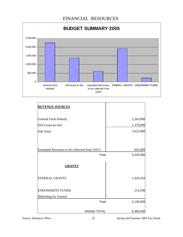

| <b>REVENUE SOURCES</b>                       |           |
|----------------------------------------------|-----------|
| <b>General Fund Subsidy</b>                  | 2,243,000 |
| DOI Grant-In-Aid                             | 1,379,000 |
| Sub-Total                                    | 3,622,000 |
|                                              |           |
| Estimated Revenues to be collected from ASCC | 603,000   |
| Total                                        | 4,225,000 |
| <b>GRANTS</b>                                |           |
| <b>FEDERAL GRANTS</b>                        | 1,920,410 |
| <b>ENDOWMENT FUNDS</b>                       | 214,590   |
| (Matching for Grants)                        |           |
| Total                                        | 2,135,000 |
| <b>GRAND TOTAL</b>                           | 6,360,000 |

Source: Business Office 25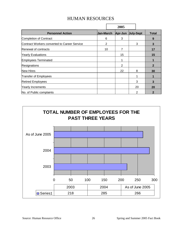|                                              |                  |    | 2005    |                  |    |                |
|----------------------------------------------|------------------|----|---------|------------------|----|----------------|
| <b>Personnel Action</b>                      | <b>Jan-March</b> |    | Apr-Jun | <b>July-Sept</b> |    | <b>Total</b>   |
| <b>Completion of Contract</b>                |                  | 6  | 3       |                  |    | 9              |
| Contract Workers converted to Career Service |                  | 2  |         |                  | 3  | 3              |
| Renewal of contracts                         |                  | 10 | 7       |                  |    | 17             |
| <b>Yearly Evaluations</b>                    |                  |    | 15      |                  |    | 15             |
| <b>Employees Terminated</b>                  |                  |    |         |                  |    | 1              |
| Resignations                                 |                  |    | 2       |                  |    | $\mathbf{2}$   |
| New Hires                                    |                  |    | 22      |                  | 8  | 30             |
| Transfer of Employees                        |                  |    |         |                  |    | 1              |
| <b>Retired Employees</b>                     |                  |    |         |                  | 3  | 3              |
| <b>Yearly Increments</b>                     |                  |    |         |                  | 20 | 20             |
| No. of Public complaints                     |                  |    |         |                  | 2  | $\overline{2}$ |

# HUMAN RESOURCES

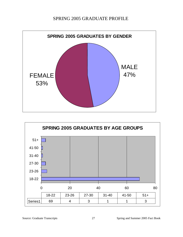## SPRING 2005 GRADUATE PROFILE





Source: Graduate Transcripts 27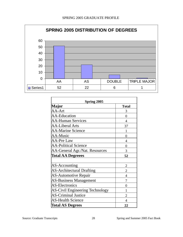

| Spring 2005                            |                |  |  |
|----------------------------------------|----------------|--|--|
| Major                                  | <b>Total</b>   |  |  |
| AA-Art                                 | 3              |  |  |
| <b>AA-Education</b>                    | 0              |  |  |
| <b>AA-Human Services</b>               | 4              |  |  |
| <b>AA-Liberal Arts</b>                 | 37             |  |  |
| <b>AA-Marine Science</b>               | 1              |  |  |
| <b>AA-Music</b>                        | 0              |  |  |
| <b>AA-Pre Law</b>                      | 4              |  |  |
| <b>AA-Political Science</b>            | 0              |  |  |
| AA-General Agr./Nat. Resources         | 3              |  |  |
| <b>Total AA Degreees</b>               | 52             |  |  |
|                                        |                |  |  |
| AS-Accounting                          | $\overline{2}$ |  |  |
| <b>AS-Architectural Drafting</b>       | $\overline{2}$ |  |  |
| <b>AS-Automotive Repair</b>            | $\overline{4}$ |  |  |
| <b>AS-Business Management</b>          | 7              |  |  |
| <b>AS-Electronics</b>                  | 0              |  |  |
| <b>AS-Civil Engineering Technology</b> |                |  |  |
| <b>AS-Criminal Justice</b>             | $\overline{2}$ |  |  |
| <b>AS-Health Science</b>               | $\overline{4}$ |  |  |
| <b>Total AS Degrees</b>                | 22             |  |  |